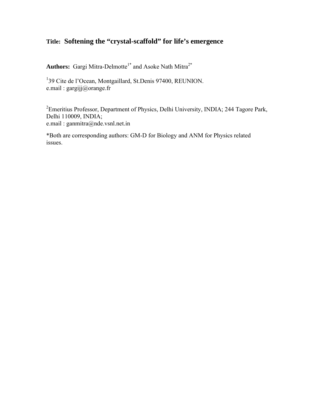# **Title: Softening the "crystal-scaffold" for life's emergence**

Authors: Gargi Mitra-Delmotte<sup>1\*</sup> and Asoke Nath Mitra<sup>2\*</sup>

<sup>1</sup>39 Cite de l'Ocean, Montgaillard, St.Denis 97400, REUNION. e.mail : gargijj@orange.fr

<sup>2</sup> Emeritius Professor, Department of Physics, Delhi University, INDIA; 244 Tagore Park, Delhi 110009, INDIA; e.mail : ganmitra@nde.vsnl.net.in

\*Both are corresponding authors: GM-D for Biology and ANM for Physics related issues.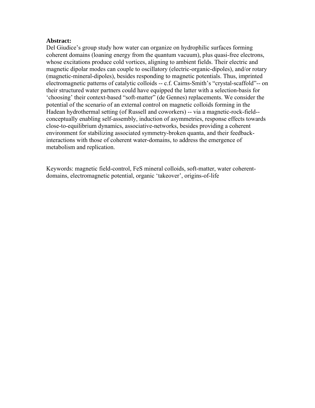## **Abstract:**

Del Giudice's group study how water can organize on hydrophilic surfaces forming coherent domains (loaning energy from the quantum vacuum), plus quasi-free electrons, whose excitations produce cold vortices, aligning to ambient fields. Their electric and magnetic dipolar modes can couple to oscillatory (electric-organic-dipoles), and/or rotary (magnetic-mineral-dipoles), besides responding to magnetic potentials. Thus, imprinted electromagnetic patterns of catalytic colloids -- c.f. Cairns-Smith's "crystal-scaffold"-- on their structured water partners could have equipped the latter with a selection-basis for 'choosing' their context-based "soft-matter" (de Gennes) replacements. We consider the potential of the scenario of an external control on magnetic colloids forming in the Hadean hydrothermal setting (of Russell and coworkers) -- via a magnetic-rock-field- conceptually enabling self-assembly, induction of asymmetries, response effects towards close-to-equilibrium dynamics, associative-networks, besides providing a coherent environment for stabilizing associated symmetry-broken quanta, and their feedbackinteractions with those of coherent water-domains, to address the emergence of metabolism and replication.

Keywords: magnetic field-control, FeS mineral colloids, soft-matter, water coherentdomains, electromagnetic potential, organic 'takeover', origins-of-life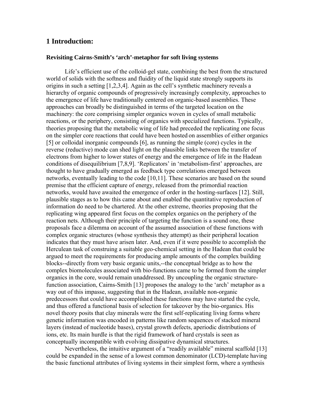# **1 Introduction:**

#### **Revisiting Cairns-Smith's 'arch'-metaphor for soft living systems**

Life's efficient use of the colloid-gel state, combining the best from the structured world of solids with the softness and fluidity of the liquid state strongly supports its origins in such a setting [1,2,3,4]. Again as the cell's synthetic machinery reveals a hierarchy of organic compounds of progressively increasingly complexity, approaches to the emergence of life have traditionally centered on organic-based assemblies. These approaches can broadly be distinguished in terms of the targeted location on the machinery: the core comprising simpler organics woven in cycles of small metabolic reactions, or the periphery, consisting of organics with specialized functions. Typically, theories proposing that the metabolic wing of life had preceded the replicating one focus on the simpler core reactions that could have been hosted on assemblies of either organics [5] or colloidal inorganic compounds [6], as running the simple (core) cycles in the reverse (reductive) mode can shed light on the plausible links between the transfer of electrons from higher to lower states of energy and the emergence of life in the Hadean conditions of disequilibrium [7,8,9]. 'Replicators' in 'metabolism-first' approaches, are thought to have gradually emerged as feedback type correlations emerged between networks, eventually leading to the code [10,11]. These scenarios are based on the sound premise that the efficient capture of energy, released from the primordial reaction networks, would have awaited the emergence of order in the hosting-surfaces [12]. Still, plausible stages as to how this came about and enabled the quantitative reproduction of information do need to be chartered. At the other extreme, theories proposing that the replicating wing appeared first focus on the complex organics on the periphery of the reaction nets. Although their principle of targeting the function is a sound one, these proposals face a dilemma on account of the assumed association of these functions with complex organic structures (whose synthesis they attempt) as their peripheral location indicates that they must have arisen later. And, even if it were possible to accomplish the Herculean task of construing a suitable geo-chemical setting in the Hadean that could be argued to meet the requirements for producing ample amounts of the complex building blocks--directly from very basic organic units,--the conceptual bridge as to how the complex biomolecules associated with bio-functions came to be formed from the simpler organics in the core, would remain unaddressed. By uncoupling the organic structurefunction association, Cairns-Smith [13] proposes the analogy to the 'arch' metaphor as a way out of this impasse, suggesting that in the Hadean, available non-organic predecessors that could have accomplished these functions may have started the cycle, and thus offered a functional basis of selection for takeover by the bio-organics. His novel theory posits that clay minerals were the first self-replicating living forms where genetic information was encoded in patterns like random sequences of stacked mineral layers (instead of nucleotide bases), crystal growth defects, aperiodic distributions of ions, etc. Its main hurdle is that the rigid framework of hard crystals is seen as conceptually incompatible with evolving dissipative dynamical structures.

Nevertheless, the intuitive argument of a "readily available" mineral scaffold [13] could be expanded in the sense of a lowest common denominator (LCD)-template having the basic functional attributes of living systems in their simplest form, where a synthesis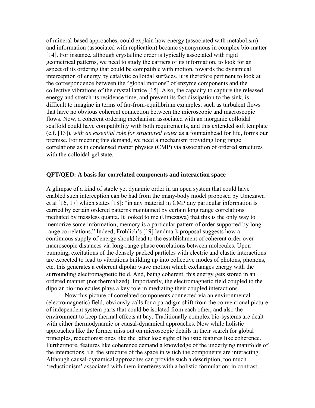of mineral-based approaches, could explain how energy (associated with metabolism) and information (associated with replication) became synonymous in complex bio-matter [14]. For instance, although crystalline order is typically associated with rigid geometrical patterns, we need to study the carriers of its information, to look for an aspect of its ordering that could be compatible with motion, towards the dynamical interception of energy by catalytic colloidal surfaces. It is therefore pertinent to look at the correspondence between the "global motions" of enzyme components and the collective vibrations of the crystal lattice [15]. Also, the capacity to capture the released energy and stretch its residence time, and prevent its fast dissipation to the sink, is difficult to imagine in terms of far-from-equilibrium examples, such as turbulent flows that have no obvious coherent connection between the microscopic and macroscopic flows. Now, a coherent ordering mechanism associated with an inorganic colloidal scaffold could have compatibility with both requirements, and this extended soft template (c.f. [13]), *with an essential role for structured water* as a fountainhead for life, forms our premise. For meeting this demand, we need a mechanism providing long range correlations as in condensed matter physics (CMP) via association of ordered structures with the colloidal-gel state.

## **QFT/QED: A basis for correlated components and interaction space**

A glimpse of a kind of stable yet dynamic order in an open system that could have enabled such interception can be had from the many-body model proposed by Umezawa et al [16, 17] which states [18]: "in any material in CMP any particular information is carried by certain ordered patterns maintained by certain long range correlations mediated by massless quanta. It looked to me (Umezawa) that this is the only way to memorize some information; memory is a particular pattern of order supported by long range correlations." Indeed, Frohlich's [19] landmark proposal suggests how a continuous supply of energy should lead to the establishment of coherent order over macroscopic distances via long-range phase correlations between molecules. Upon pumping, excitations of the densely packed particles with electric and elastic interactions are expected to lead to vibrations building up into collective modes of photons, phonons, etc. this generates a coherent dipolar wave motion which exchanges energy with the surrounding electromagnetic field. And, being coherent, this energy gets stored in an ordered manner (not thermalized). Importantly, the electromagnetic field coupled to the dipolar bio-molecules plays a key role in mediating their coupled interactions.

Now this picture of correlated components connected via an environmental (electromagnetic) field, obviously calls for a paradigm shift from the conventional picture of independent system parts that could be isolated from each other, and also the environment to keep thermal effects at bay. Traditionally complex bio-systems are dealt with either thermodynamic or causal-dynamical approaches. Now while holistic approaches like the former miss out on microscopic details in their search for global principles, reductionist ones like the latter lose sight of holistic features like coherence. Furthermore, features like coherence demand a knowledge of the underlying manifolds of the interactions, i.e. the structure of the space in which the components are interacting. Although causal-dynamical approaches can provide such a description, too much 'reductionism' associated with them interferes with a holistic formulation; in contrast,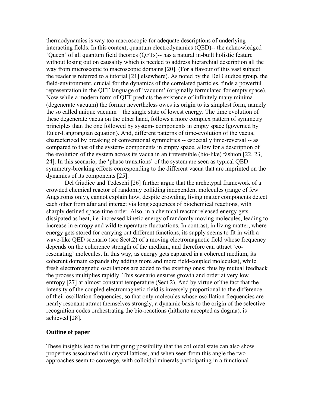thermodynamics is way too macroscopic for adequate descriptions of underlying interacting fields. In this context, quantum electrodynamics (QED)-- the acknowledged 'Queen' of all quantum field theories (QFTs)-- has a natural in-built holistic feature without losing out on causality which is needed to address hierarchial description all the way from microscopic to macroscopic domains [20]. (For a flavour of this vast subject the reader is referred to a tutorial [21] elsewhere). As noted by the Del Giudice group, the field-environment, crucial for the dynamics of the correlated particles, finds a powerful representation in the QFT language of 'vacuum' (originally formulated for empty space). Now while a modern form of QFT predicts the existence of infinitely many minima (degenerate vacuum) the former nevertheless owes its origin to its simplest form, namely the so called unique vacuum—the single state of lowest energy. The time evolution of these degenerate vacua on the other hand, follows a more complex pattern of symmetry principles than the one followed by system- components in empty space (governed by Euler-Langrangian equation). And, different patterns of time-evolution of the vacua, characterized by breaking of conventional symmetries -- especially time-reversal -- as compared to that of the system- components in empty space, allow for a description of the evolution of the system across its vacua in an irreversible (bio-like) fashion [22, 23, 24]. In this scenario, the 'phase transitions' of the system are seen as typical QED symmetry-breaking effects corresponding to the different vacua that are imprinted on the dynamics of its components [25].

Del Giudice and Tedeschi [26] further argue that the archetypal framework of a crowded chemical reactor of randomly colliding independent molecules (range of few Angstroms only), cannot explain how, despite crowding, living matter components detect each other from afar and interact via long sequences of biochemical reactions, with sharply defined space-time order. Also, in a chemical reactor released energy gets dissipated as heat, i.e. increased kinetic energy of randomly moving molecules, leading to increase in entropy and wild temperature fluctuations. In contrast, in living matter, where energy gets stored for carrying out different functions, its supply seems to fit in with a wave-like QED scenario (see Sect.2) of a moving electromagnetic field whose frequency depends on the coherence strength of the medium, and therefore can attract `coresonating' molecules. In this way, as energy gets captured in a coherent medium, its coherent domain expands (by adding more and more field-coupled molecules), while fresh electromagnetic oscillations are added to the existing ones; thus by mutual feedback the process multiplies rapidly. This scenario ensures growth and order at very low entropy [27] at almost constant temperature (Sect.2). And by virtue of the fact that the intensity of the coupled electromagnetic field is inversely proportional to the difference of their oscillation frequencies, so that only molecules whose oscillation frequencies are nearly resonant attract themselves strongly, a dynamic basis to the origin of the selectiverecognition codes orchestrating the bio-reactions (hitherto accepted as dogma), is achieved [28].

### **Outline of paper**

These insights lead to the intriguing possibility that the colloidal state can also show properties associated with crystal lattices, and when seen from this angle the two approaches seem to converge, with colloidal minerals participating in a functional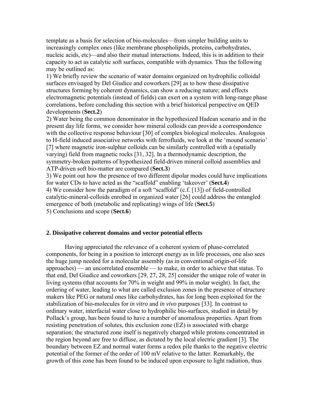template as a basis for selection of bio-molecules—from simpler building units to increasingly complex ones (like membrane phospholipids, proteins, carbohydrates, nucleic acids, etc)—and also their mutual interactions. Indeed, this is in addition to their capacity to act as catalytic soft surfaces, compatible with dynamics. Thus the following may be outlined as:

1) We briefly review the scenario of water domains organized on hydrophilic colloidal surfaces envisaged by Del Giudice and coworkers [29] as to how these dissipative structures forming by coherent dynamics, can show a reducing nature; and effects electromagnetic potentials (instead of fields) can exert on a system with long-range phase correlations, before concluding this section with a brief historical perspective on QED developments (**Sect.2**)

2) Water being the common denominator in the hypothesized Hadean scenario and in the present day life forms, we consider how mineral colloids can provide a correspondence with the collective response behaviour [30] of complex biological molecules. Analogous to H-field induced associative networks with ferrofluids, we look at the 'mound scenario' [7] where magnetic iron-sulphur colloids can be similarly controlled with a (spatially varying) field from magnetic rocks [31, 32]. In a thermodynamic description, the symmetry-broken patterns of hypothesized field-driven mineral colloid assemblies and ATP-driven soft bio-matter are compared (**Sect.3**)

3) We point out how the presence of two different dipolar modes could have implications for water CDs to have acted as the "scaffold" enabling 'takeover' (**Sect.4**) 4) We consider how the paradigm of a soft "scaffold" (c.f. [13]) of field-controlled catalytic-mineral-colloids enrobed in organized water [26] could address the entangled emergence of both (metabolic and replicating) wings of life (**Sect.5**) 5) Conclusions and scope (**Sect.6**)

# **2. Dissipative coherent domains and vector potential effects**

Having appreciated the relevance of a coherent system of phase-correlated components, for being in a position to intercept energy as in life processes, one also sees the huge jump needed for a molecular assembly (as in conventional origin-of-life approaches) — an uncorrelated ensemble — to make, in order to achieve that status. To that end, Del Giudice and coworkers [29, 27, 28, 25] consider the unique role of water in living systems (that accounts for 70% in weight and 99% in molar weight). In fact, the ordering of water, leading to what are called exclusion zones in the presence of structure makers like PEG or natural ones like carbohydrates, has for long been exploited for the stabilization of bio-molecules for *in vitro* and *in vivo* purposes [33]. In contrast to ordinary water, interfacial water close to hydrophilic bio-surfaces, studied in detail by Pollack's group, has been found to have a number of anomalous properties. Apart from resisting penetration of solutes, this exclusion zone (EZ) is associated with charge separation; the structured zone itself is negatively charged while protons concentrated in the region beyond are free to diffuse, as dictated by the local electric gradient [3]. The boundary between EZ and normal water forms a redox pile thanks to the negative electric potential of the former of the order of 100 mV relative to the latter. Remarkably, the growth of this zone has been found to be induced upon exposure to light radiation, thus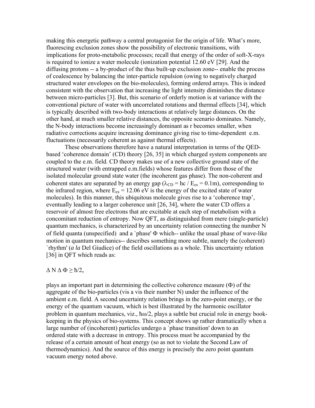making this energetic pathway a central protagonist for the origin of life. What's more, fluorescing exclusion zones show the possibility of electronic transitions, with implications for proto-metabolic processes; recall that energy of the order of soft-X-rays is required to ionize a water molecule (ionization potential 12.60 eV [29]. And the diffusing protons -- a by-product of the thus built-up exclusion zone-- enable the process of coalescence by balancing the inter-particle repulsion (owing to negatively charged structured water envelopes on the bio-molecules), forming ordered arrays. This is indeed consistent with the observation that increasing the light intensity diminishes the distance between micro-particles [3]. But, this scenario of orderly motion is at variance with the conventional picture of water with uncorrelated rotations and thermal effects [34], which is typically described with two-body interactions at relatively large distances. On the other hand, at much smaller relative distances, the opposite scenario dominates. Namely, the N-body interactions become increasingly dominant as r becomes smaller, when radiative corrections acquire increasing dominance giving rise to time-dependent e.m. fluctuations (necessarily coherent as against thermal effects).

These observations therefore have a natural interpretation in terms of the QEDbased 'coherence domain' (CD) theory [26, 35] in which charged system components are coupled to the e.m. field. CD theory makes use of a new collective ground state of the structured water (with entrapped e.m.fields) whose features differ from those of the isolated molecular ground state water (the incoherent gas phase). The non-coherent and coherent states are separated by an energy gap ( $\lambda_{CD}$  = hc / E<sub>ex</sub> = 0.1m), corresponding to the infrared region, where  $E_{ex} = 12.06$  eV is the energy of the excited state of water molecules). In this manner, this ubiquitous molecule gives rise to a 'coherence trap', eventually leading to a larger coherence unit [26, 34], where the water CD offers a reservoir of almost free electrons that are excitable at each step of metabolism with a concomitant reduction of entropy. Now QFT, as distinguished from mere (single-particle) quantum mechanics, is characterized by an uncertainty relation connecting the number N of field quanta (unspecified) and a 'phase'  $\Phi$  which-- unlike the usual phase of wave-like motion in quantum mechanics-- describes something more subtle, namely the (coherent) `rhythm' (*a la* Del Giudice) of the field oscillations as a whole. This uncertainty relation [36] in QFT which reads as:

#### $\Delta N \Delta \Phi \geq \hbar/2$ ,

plays an important part in determining the collective coherence measure  $(\Phi)$  of the aggregate of the bio-particles (vis a vis their number N) under the influence of the ambient e.m. field. A second uncertainty relation brings in the zero-point energy, or the energy of the quantum vacuum, which is best illustrated by the harmonic oscillator problem in quantum mechanics, viz., h $\omega/2$ , plays a subtle but crucial role in energy bookkeeping in the physics of bio-systems. This concept shows up rather dramatically when a large number of (incoherent) particles undergo a `phase transition' down to an ordered state with a decrease in entropy. This process must be accompanied by the release of a certain amount of heat energy (so as not to violate the Second Law of thermodynamics). And the source of this energy is precisely the zero point quantum vacuum energy noted above.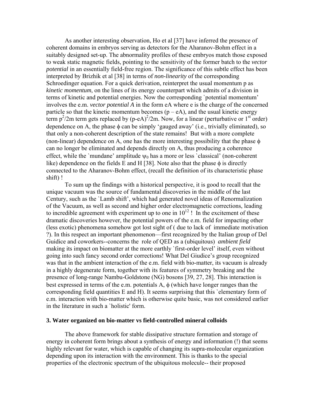As another interesting observation, Ho et al [37] have inferred the presence of coherent domains in embryos serving as detectors for the Aharanov-Bohm effect in a suitably designed set-up. The abnormality profiles of these embryos match those exposed to weak static magnetic fields, pointing to the sensitivity of the former batch to the *vector potential* in an essentially field-free region. The significance of this subtle effect has been interpreted by Brizhik et al [38] in terms of *non-linearity* of the corresponding Schroedinger equation. For a quick derivation, reinterpret the usual momentum p as *kinetic momentum*, on the lines of its energy counterpart which admits of a division in terms of kinetic and potential energies. Now the corresponding `potential momentum' involves the e.m. *vector potential A* in the form eA where e is the charge of the concerned particle so that the kinetic momentum becomes  $(p - eA)$ , and the usual kinetic energy term  $p^2/2m$  term gets replaced by (p-eA)<sup>2</sup>/2m. Now, for a linear (perturbative or 1<sup>st</sup> order) dependence on A, the phase  $\phi$  can be simply 'gauged away' (i.e., trivially eliminated), so that only a non-coherent description of the state remains! But with a more complete (non-linear) dependence on A, one has the more interesting possibility that the phase  $\phi$ can no longer be eliminated and depends directly on A, thus producing a coherence effect, while the `mundane' amplitude  $\psi_0$  has a more or less `classical' (non-coherent like) dependence on the fields E and H [38]. Note also that the phase  $\phi$  is directly connected to the Aharanov-Bohm effect, (recall the definition of its characteristic phase shift) !

To sum up the findings with a historical perspective, it is good to recall that the unique vacuum was the source of fundamental discoveries in the middle of the last Century, such as the `Lamb shift', which had generated novel ideas of Renormalization of the Vacuum, as well as second and higher order electromagnetic corrections, leading to incredible agreement with experiment up to one in  $10^{12}$ ! In the excitement of these dramatic discoveries however, the potential powers of the e.m. field for impacting other (less exotic) phenomena somehow got lost sight of ( due to lack of immediate motivation ?). In this respect an important phenomenon—first recognized by the Italian group of Del Guidice and coworkers--concerns the role of QED as a (ubiquitous) *ambient field* making its impact on biomatter at the more earthly `first-order level' itself, even without going into such fancy second order corrections! What Del Giudice's group recognized was that in the ambient interaction of the e.m. field with bio-matter, its vacuum is already in a highly degenerate form, together with its features of symmetry breaking and the presence of long-range Nambu-Goldstone (NG) bosons [39, 27, 28]. This interaction is best expressed in terms of the e.m. potentials  $A$ ,  $\phi$  (which have longer ranges than the corresponding field quantities E and H). It seems surprising that this `elementary form of e.m. interaction with bio-matter which is otherwise quite basic, was not considered earlier in the literature in such a `holistic' form.

# **3. Water organized on bio-matter vs field-controlled mineral colloids**

The above framework for stable dissipative structure formation and storage of energy in coherent form brings about a synthesis of energy and information (!) that seems highly relevant for water, which is capable of changing its supra-molecular organization depending upon its interaction with the environment. This is thanks to the special properties of the electronic spectrum of the ubiquitous molecule-- their proposed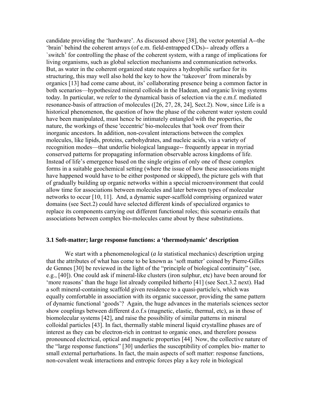candidate providing the 'hardware'. As discussed above [38], the vector potential A--the 'brain' behind the coherent arrays (of e.m. field-entrapped CDs)-- already offers a `switch' for controlling the phase of the coherent system, with a range of implications for living organisms, such as global selection mechanisms and communication networks. But, as water in the coherent organized state requires a hydrophilic surface for its structuring, this may well also hold the key to how the 'takeover' from minerals by organics [13] had come came about, its' collaborating presence being a common factor in both scenarios—hypothesized mineral colloids in the Hadean, and organic living systems today. In particular, we refer to the dynamical basis of selection via the e.m.f. mediated resonance-basis of attraction of molecules ([26, 27, 28, 24], Sect.2). Now, since Life is a historical phenomenon, the question of how the phase of the coherent water system could have been manipulated, must hence be intimately entangled with the properties, the nature, the workings of these 'eccentric' bio-molecules that 'took over' from their inorganic ancestors. In addition, non-covalent interactions between the complex molecules, like lipids, proteins, carbohydrates, and nucleic acids, via a variety of recognition modes—that underlie biological language-- frequently appear in myriad conserved patterns for propagating information observable across kingdoms of life. Instead of life's emergence based on the single origins of only one of these complex forms in a suitable geochemical setting (where the issue of how these associations might have happened would have to be either postponed or skipped), the picture gels with that of gradually building up organic networks within a special microenvironment that could allow time for associations between molecules and later between types of molecular networks to occur [10, 11]. And, a dynamic super-scaffold comprising organized water domains (see Sect.2) could have selected different kinds of specialized organics to replace its components carrying out different functional roles; this scenario entails that associations between complex bio-molecules came about by these substitutions.

#### **3.1 Soft-matter; large response functions: a 'thermodynamic' description**

We start with a phenomenological (*a la* statistical mechanics) description urging that the attributes of what has come to be known as 'soft matter' coined by Pierre-Gilles de Gennes [30] be reviewed in the light of the "principle of biological continuity" (see, e.g., [40]). One could ask if mineral-like clusters (iron sulphur, etc) have been around for 'more reasons' than the huge list already compiled hitherto [41] (see Sect.3.2 next). Had a soft mineral-containing scaffold given residence to a quasi-particle/s, which was equally comfortable in association with its organic successor, providing the same pattern of dynamic functional 'goods'? Again, the huge advances in the materials sciences sector show couplings between different d.o.f.s (magnetic, elastic, thermal, etc), as in those of biomolecular systems [42], and raise the possibility of similar patterns in mineral colloidal particles [43]. In fact, thermally stable mineral liquid crystalline phases are of interest as they can be electron-rich in contrast to organic ones, and therefore possess pronounced electrical, optical and magnetic properties [44]. Now, the collective nature of the "large response functions" [30] underlies the susceptibility of complex bio- matter to small external perturbations. In fact, the main aspects of soft matter: response functions, non-covalent weak interactions and entropic forces play a key role in biological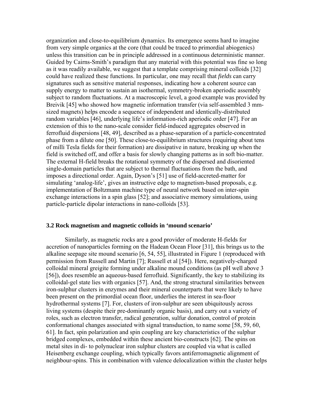organization and close-to-equilibrium dynamics. Its emergence seems hard to imagine from very simple organics at the core (that could be traced to primordial abiogenics) unless this transition can be in principle addressed in a continuous deterministic manner. Guided by Cairns-Smith's paradigm that any material with this potential was fine so long as it was readily available, we suggest that a template comprising mineral colloids [32] could have realized these functions. In particular, one may recall that *fields* can carry signatures such as sensitive material responses, indicating how a coherent source can supply energy to matter to sustain an isothermal, symmetry-broken aperiodic assembly subject to random fluctuations. At a macroscopic level, a good example was provided by Breivik [45] who showed how magnetic information transfer (via self-assembled 3 mmsized magnets) helps encode a sequence of independent and identically-distributed random variables [46], underlying life's information-rich aperiodic order [47]. For an extension of this to the nano-scale consider field-induced aggregates observed in ferrofluid dispersions [48, 49], described as a phase-separation of a particle-concentrated phase from a dilute one [50]. These close-to-equilibrium structures (requiring about tens of milli Tesla fields for their formation) are dissipative in nature, breaking up when the field is switched off, and offer a basis for slowly changing patterns as in soft bio-matter. The external H-field breaks the rotational symmetry of the dispersed and disoriented single-domain particles that are subject to thermal fluctuations from the bath, and imposes a directional order. Again, Dyson's [51] use of field-accreted-matter for simulating 'analog-life', gives an instructive edge to magnetism-based proposals, e.g. implementation of Boltzmann machine type of neural network based on inter-spin exchange interactions in a spin glass [52]; and associative memory simulations, using particle-particle dipolar interactions in nano-colloids [53].

#### **3.2 Rock magnetism and magnetic colloids in 'mound scenario'**

Similarly, as magnetic rocks are a good provider of moderate H-fields for accretion of nanoparticles forming on the Hadean Ocean Floor [31], this brings us to the alkaline seepage site mound scenario [6, 54, 55], illustrated in Figure 1 (reproduced with permission from Russell and Martin [7]; Russell et al [54]). Here, negatively-charged colloidal mineral greigite forming under alkaline mound conditions (as pH well above 3 [56]), does resemble an aqueous-based ferrofluid. Significantly, the key to stabilizing its colloidal-gel state lies with organics [57]. And, the strong structural similarities between iron-sulphur clusters in enzymes and their mineral counterparts that were likely to have been present on the primordial ocean floor, underlies the interest in sea-floor hydrothermal systems [7]. For, clusters of iron-sulphur are seen ubiquitously across living systems (despite their pre-dominantly organic basis), and carry out a variety of roles, such as electron transfer, radical generation, sulfur donation, control of protein conformational changes associated with signal transduction, to name some [58, 59, 60, 61]. In fact, spin polarization and spin coupling are key characteristics of the sulphur bridged complexes, embedded within these ancient bio-constructs [62]. The spins on metal sites in di- to polynuclear iron sulphur clusters are coupled via what is called Heisenberg exchange coupling, which typically favors antiferromagnetic alignment of neighbour-spins. This in combination with valence delocalization within the cluster helps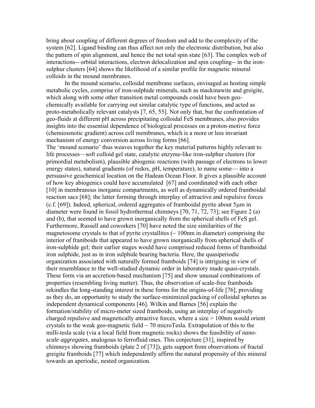bring about coupling of different degrees of freedom and add to the complexity of the system [62]. Ligand binding can thus affect not only the electronic distribution, but also the pattern of spin alignment, and hence the net total spin state [63]. The complex web of interactions-- orbital interactions, electron delocalization and spin coupling-- in the ironsulphur clusters [64] shows the likelihood of a similar profile for magnetic mineral colloids in the mound membranes.

In the mound scenario, colloidal membrane surfaces, envisaged as hosting simple metabolic cycles, comprise of iron-sulphide minerals, such as mackinawite and greigite, which along with some other transition metal compounds could have been geochemically available for carrying out similar catalytic type of functions, and acted as proto-metabolically relevant catalysts [7, 65, 55]. Not only that, but the confrontation of geo-fluids at different pH across precipitating colloidal FeS membranes, also provides insights into the essential dependence of biological processes on a proton-motive force (chemiosmotic gradient) across cell membranes, which is a more or less invariant mechanism of energy conversion across living forms [66].

The 'mound scenario' thus weaves together the key material patterns highly relevant to life processes—soft colloid gel state, catalytic enzyme-like iron-sulphur clusters (for primordial metabolism), plausible abiogenic reactions (with passage of electrons to lower energy states), natural gradients (of redox, pH, temperature), to name some— into a persuasive geochemical location on the Hadean Ocean Floor. It gives a plausible account of how key abiogenics could have accumulated [67] and coordinated with each other [10] in membranous inorganic compartments, as well as dynamically ordered framboidal reaction sacs [68]; the latter forming through interplay of attractive and repulsive forces  $(c.f. [69])$ . Indeed, spherical, ordered aggregates of framboidal pyrite about 5 $\mu$ m in diameter were found in fossil hydrothermal chimneys [70, 71, 72, 73]; see Figure 2 (a) and (b), that seemed to have grown inorganically from the spherical shells of FeS gel. Furthermore, Russell and coworkers [70] have noted the size similarities of the magnetosome crystals to that of pyrite crystallites  $($   $\sim$  100nm in diameter) comprising the interior of framboids that appeared to have grown inorganically from spherical shells of iron-sulphide gel; their earlier stages would have comprised reduced forms of framboidal iron sulphide, just as in iron sulphide bearing bacteria. Here, the quasiperiodic organization associated with naturally formed framboids [74] is intriguing in view of their resemblance to the well-studied dynamic order in laboratory made quasi-crystals. These form via an accretion-based mechanism [75] and show unusual combinations of properties (resembling living matter). Thus, the observation of scale-free framboids rekindles the long-standing interest in these forms for the origins-of-life [76], providing as they do, an opportunity to study the surface-minimized packing of colloidal spheres as independent dynamical components [46]. Wilkin and Barnes [56] explain the formation/stability of micro-meter sized framboids, using an interplay of negatively charged repulsive and magnetically attractive forces, where a size > 100nm would orient crystals to the weak geo-magnetic field  $\sim$  70 microTesla. Extrapolation of this to the milli-tesla scale (via a local field from magnetic rocks) shows the feasibility of *nanoscale aggregates*, analogous to ferrofluid ones. This conjecture [31], inspired by chimneys showing framboids (plate 2 of [73]), gets support from observations of fractal greigite framboids [77] which independently affirm the natural propensity of this mineral towards an aperiodic, nested organization.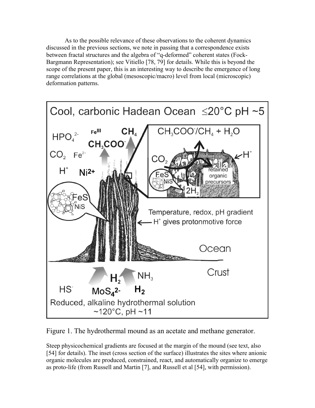As to the possible relevance of these observations to the coherent dynamics discussed in the previous sections, we note in passing that a correspondence exists between fractal structures and the algebra of "q-deformed" coherent states (Fock-Bargmann Representation); see Vitiello [78, 79] for details. While this is beyond the scope of the present paper, this is an interesting way to describe the emergence of long range correlations at the global (mesoscopic/macro) level from local (microscopic) deformation patterns.



Figure 1. The hydrothermal mound as an acetate and methane generator.

Steep physicochemical gradients are focused at the margin of the mound (see text, also [54] for details). The inset (cross section of the surface) illustrates the sites where anionic organic molecules are produced, constrained, react, and automatically organize to emerge as proto-life (from Russell and Martin [7], and Russell et al [54], with permission).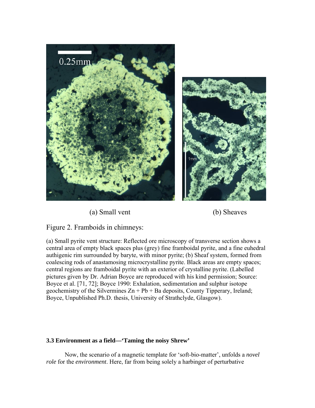

(a) Small vent (b) Sheaves



Figure 2. Framboids in chimneys:

(a) Small pyrite vent structure: Reflected ore microscopy of transverse section shows a central area of empty black spaces plus (grey) fine framboidal pyrite, and a fine euhedral authigenic rim surrounded by baryte, with minor pyrite; (b) Sheaf system, formed from coalescing rods of anastamosing microcrystalline pyrite. Black areas are empty spaces; central regions are framboidal pyrite with an exterior of crystalline pyrite. (Labelled pictures given by Dr. Adrian Boyce are reproduced with his kind permission; Source: Boyce et al. [71, 72]; Boyce 1990: Exhalation, sedimentation and sulphur isotope geochemistry of the Silvermines  $Zn + Pb + Ba$  deposits, County Tipperary, Ireland; Boyce, Unpublished Ph.D. thesis, University of Strathclyde, Glasgow).

# **3.3 Environment as a field—'Taming the noisy Shrew'**

Now, the scenario of a magnetic template for 'soft-bio-matter', unfolds a *novel role* for the *environment*. Here, far from being solely a harbinger of perturbative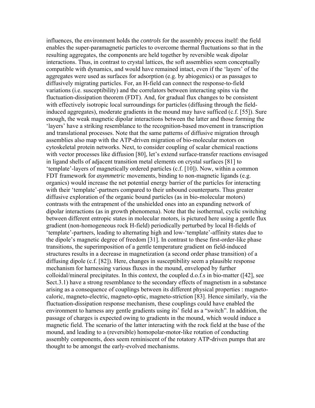influences, the environment holds the *controls* for the assembly process itself: the field enables the super-paramagnetic particles to overcome thermal fluctuations so that in the resulting aggregates, the components are held together by reversible weak dipolar interactions. Thus, in contrast to crystal lattices, the soft assemblies seem conceptually compatible with dynamics, and would have remained intact, even if the 'layers' of the aggregates were used as surfaces for adsorption (e.g. by abiogenics) or as passages to diffusively migrating particles. For, an H-field can connect the response-to-field variations (i.e. susceptibility) and the correlators between interacting spins via the fluctuation-dissipation theorem (FDT). And, for gradual flux changes to be consistent with effectively isotropic local surroundings for particles (diffusing through the fieldinduced aggregates), moderate gradients in the mound may have sufficed (c.f. [55]). Sure enough, the weak magnetic dipolar interactions between the latter and those forming the 'layers' have a striking resemblance to the recognition-based movement in transcription and translational processes. Note that the same patterns of diffusive migration through assemblies also map with the ATP-driven migration of bio-molecular motors on cytoskeletal protein networks. Next, to consider coupling of scalar chemical reactions with vector processes like diffusion [80], let's extend surface-transfer reactions envisaged in ligand shells of adjacent transition metal elements on crystal surfaces [81] to 'template'-layers of magnetically ordered particles (c.f. [10]). Now, within a common FDT framework for *asymmetric* movements, binding to non-magnetic ligands (e.g. organics) would increase the net potential energy barrier of the particles for interacting with their 'template'-partners compared to their unbound counterparts. Thus greater diffusive exploration of the organic bound particles (as in bio-molecular motors) contrasts with the entrapment of the unshielded ones into an expanding network of dipolar interactions (as in growth phenomena). Note that the isothermal, cyclic switching between different entropic states in molecular motors, is pictured here using a gentle flux gradient (non-homogeneous rock H-field) periodically perturbed by local H-fields of 'template'-partners, leading to alternating high and low-'template'-affinity states due to the dipole's magnetic degree of freedom [31]. In contrast to these first-order-like phase transitions, the superimposition of a gentle temperature gradient on field-induced structures results in a decrease in magnetization (a second order phase transition) of a diffusing dipole (c.f. [82]). Here, changes in susceptibility seem a plausible response mechanism for harnessing various fluxes in the mound, enveloped by further colloidal/mineral precipitates. In this context, the coupled d.o.f.s in bio-matter ([42], see Sect.3.1) have a strong resemblance to the secondary effects of magnetism in a substance arising as a consequence of couplings between its different physical properties : magnetocaloric, magneto-electric, magneto-optic, magneto-striction [83]. Hence similarly, via the fluctuation-dissipation response mechanism, these couplings could have enabled the environment to harness any gentle gradients using its' field as a "switch". In addition, the passage of charges is expected owing to gradients in the mound, which would induce a magnetic field. The scenario of the latter interacting with the rock field at the base of the mound, and leading to a (reversible) homopolar-motor-like rotation of conducting assembly components, does seem reminiscent of the rotatory ATP-driven pumps that are thought to be amongst the early-evolved mechanisms.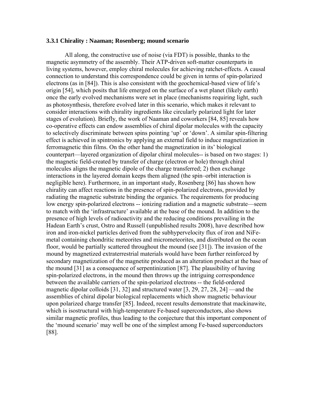#### **3.3.1 Chirality : Naaman; Rosenberg; mound scenario**

All along, the constructive use of noise (via FDT) is possible, thanks to the magnetic asymmetry of the assembly. Their ATP-driven soft-matter counterparts in living systems, however, employ chiral molecules for achieving ratchet-effects. A causal connection to understand this correspondence could be given in terms of spin-polarized electrons (as in [84]). This is also consistent with the geochemical-based view of life's origin [54], which posits that life emerged on the surface of a wet planet (likely earth) once the early evolved mechanisms were set in place (mechanisms requiring light, such as photosynthesis, therefore evolved later in this scenario, which makes it relevant to consider interactions with chirality ingredients like circularly polarized light for later stages of evolution). Briefly, the work of Naaman and coworkers [84, 85] reveals how co-operative effects can endow assemblies of chiral dipolar molecules with the capacity to selectively discriminate between spins pointing 'up' or 'down'. A similar spin-filtering effect is achieved in spintronics by applying an external field to induce magnetization in ferromagnetic thin films. On the other hand the magnetization in its' biological counterpart—layered organization of dipolar chiral molecules-- is based on two stages: 1) the magnetic field-created by transfer of charge (electron or hole) through chiral molecules aligns the magnetic dipole of the charge transferred; 2) then exchange interactions in the layered domain keeps them aligned (the spin–orbit interaction is negligible here). Furthermore, in an important study, Rosenberg [86] has shown how chirality can affect reactions in the presence of spin-polarized electrons, provided by radiating the magnetic substrate binding the organics. The requirements for producing low energy spin-polarized electrons -- ionizing radiation and a magnetic substrate—seem to match with the 'infrastructure' available at the base of the mound. In addition to the presence of high levels of radioactivity and the reducing conditions prevailing in the Hadean Earth's crust, Ostro and Russell (unpublished results 2008), have described how iron and iron-nickel particles derived from the subhypervelocity flux of iron and NiFemetal containing chondritic meteorites and micrometeorites, and distributed on the ocean floor, would be partially scattered throughout the mound (see [31]). The invasion of the mound by magnetized extraterrestrial materials would have been further reinforced by secondary magnetization of the magnetite produced as an alteration product at the base of the mound [31] as a consequence of serpentinization [87]. The plausibility of having spin-polarized electrons, in the mound then throws up the intriguing correspondence between the available carriers of the spin-polarized electrons -- the field-ordered magnetic dipolar colloids [31, 32] and structured water [3, 29, 27, 28, 24] —and the assemblies of chiral dipolar biological replacements which show magnetic behaviour upon polarized charge transfer [85]. Indeed, recent results demonstrate that mackinawite, which is isostructural with high-temperature Fe-based superconductors, also shows similar magnetic profiles, thus leading to the conjecture that this important component of the 'mound scenario' may well be one of the simplest among Fe-based superconductors [88].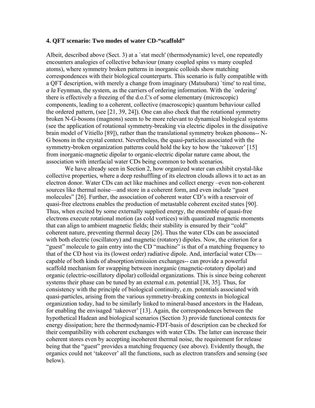#### **4. QFT scenario: Two modes of water CD-"scaffold"**

Albeit, described above (Sect. 3) at a `stat mech' (thermodynamic) level, one repeatedly encounters analogies of collective behaviour (many coupled spins vs many coupled atoms), where symmetry broken patterns in inorganic colloids show matching correspondences with their biological counterparts. This scenario is fully compatible with a QFT description, with merely a change from imaginary (Matsubara) `time' to real time, *a la* Feynman, the system, as the carriers of ordering information. With the `ordering' there is effectively a freezing of the d.o.f.'s of some elementary (microscopic) components, leading to a coherent, collective (macroscopic) quantum behaviour called the ordered pattern, (see [21, 39, 24]). One can also check that the rotational symmetry broken N-G-bosons (magnons) seem to be more relevant to dynamical biological systems (see the application of rotational symmetry-breaking via electric dipoles in the dissipative brain model of Vitiello [89]), rather than the translational symmetry broken phonons-- N-G bosons in the crystal context. Nevertheless, the quasi-particles associated with the symmetry-broken organization patterns could hold the key to how the 'takeover' [15] from inorganic-magnetic dipolar to organic-electric dipolar nature came about, the association with interfacial water CDs being common to both scenarios.

We have already seen in Section 2, how organized water can exhibit crystal-like collective properties, where a deep reshuffling of its electron clouds allows it to act as an electron donor. Water CDs can act like machines and collect energy –even non-coherent sources like thermal noise—and store in a coherent form, and even include "guest molecules" [26]. Further, the association of coherent water CD's with a reservoir of quasi-free electrons enables the production of metastable coherent excited states [90]. Thus, when excited by some externally supplied energy, the ensemble of quasi-free electrons execute rotational motion (as cold vortices) with quantized magnetic moments that can align to ambient magnetic fields; their stability is ensured by their "cold" coherent nature, preventing thermal decay [26]. Thus the water CDs can be associated with both electric (oscillatory) and magnetic (rotatory) dipoles. Now, the criterion for a "guest" molecule to gain entry into the CD "machine" is that of a matching frequency to that of the CD host via its (lowest order) radiative dipole. And, interfacial water CDs capable of both kinds of absorption/emission exchanges-- can provide a powerful scaffold mechanism for swapping between inorganic (magnetic-rotatory dipolar) and organic (electric-oscillatory dipolar) colloidal organizations. This is since being coherent systems their phase can be tuned by an external e.m. potential [38, 35]. Thus, for consistency with the principle of biological continuity, e.m. potentials associated with quasi-particles, arising from the various symmetry-breaking contexts in biological organization today, had to be similarly linked to mineral-based ancestors in the Hadean, for enabling the envisaged 'takeover' [13]. Again, the correspondences between the hypothetical Hadean and biological scenarios (Section 3) provide functional contexts for energy dissipation; here the thermodynamic-FDT-basis of description can be checked for their compatibility with coherent exchanges with water CDs. The latter can increase their coherent stores even by accepting incoherent thermal noise, the requirement for release being that the "guest" provides a matching frequency (see above). Evidently though, the organics could not 'takeover' all the functions, such as electron transfers and sensing (see below).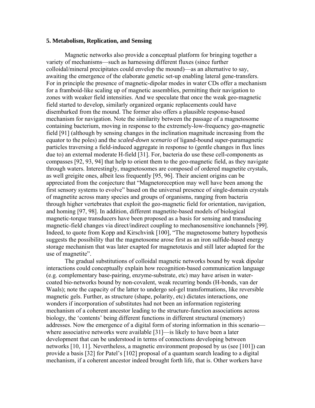#### **5. Metabolism, Replication, and Sensing**

Magnetic networks also provide a conceptual platform for bringing together a variety of mechanisms—such as harnessing different fluxes (since further colloidal/mineral precipitates could envelop the mound)—as an alternative to say, awaiting the emergence of the elaborate genetic set-up enabling lateral gene-transfers. For in principle the presence of magnetic-dipolar modes in water CDs offer a mechanism for a framboid-like scaling up of magnetic assemblies, permitting their navigation to zones with weaker field intensities. And we speculate that once the weak geo-magnetic field started to develop, similarly organized organic replacements could have disembarked from the mound. The former also offers a plausible response-based mechanism for navigation. Note the similarity between the passage of a magnetosome containing bacterium, moving in response to the extremely-low-frequency geo-magnetic field [91] (although by sensing changes in the inclination magnitude increasing from the equator to the poles) and the *scaled-down scenario* of ligand-bound super-paramagnetic particles traversing a field-induced aggregate in response to (gentle changes in flux lines due to) an external moderate H-field [31]. For, bacteria do use these cell-components as compasses [92, 93, 94] that help to orient them to the geo-magnetic field, as they navigate through waters. Interestingly, magnetosomes are composed of ordered magnetite crystals, as well greigite ones, albeit less frequently [95, 96]. Their ancient origins can be appreciated from the conjecture that "Magnetoreception may well have been among the first sensory systems to evolve" based on the universal presence of single-domain crystals of magnetite across many species and groups of organisms, ranging from bacteria through higher vertebrates that exploit the geo-magnetic field for orientation, navigation, and homing [97, 98]. In addition, different magnetite-based models of biological magnetic-torque transducers have been proposed as a basis for sensing and transducing magnetic-field changes via direct/indirect coupling to mechanosensitive ionchannels [99]. Indeed, to quote from Kopp and Kirschvink [100], "The magnetosome battery hypothesis suggests the possibility that the magnetosome arose first as an iron sulfide-based energy storage mechanism that was later exapted for magnetotaxis and still later adapted for the use of magnetite".

The gradual substitutions of colloidal magnetic networks bound by weak dipolar interactions could conceptually explain how recognition-based communication language (e.g. complementary base-pairing, enzyme-substrate, etc) may have arisen in watercoated bio-networks bound by non-covalent, weak recurring bonds (H-bonds, van der Waals); note the capacity of the latter to undergo sol-gel transformations, like reversible magnetic gels. Further, as structure (shape, polarity, etc) dictates interactions, one wonders if incorporation of substitutes had not been an information registering mechanism of a coherent ancestor leading to the structure-function associations across biology, the 'contents' being different functions in different structural (memory) addresses. Now the emergence of a digital form of storing information in this scenario where associative networks were available [31]—is likely to have been a later development that can be understood in terms of connections developing between networks [10, 11]. Nevertheless, a magnetic environment proposed by us (see [101]) can provide a basis [32] for Patel's [102] proposal of a quantum search leading to a digital mechanism, if a coherent ancestor indeed brought forth life, that is. Other workers have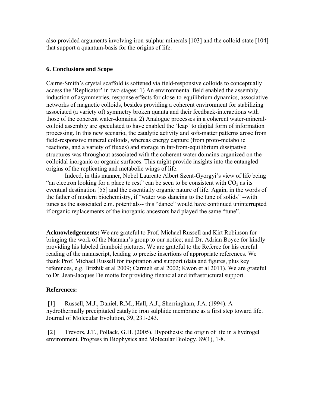also provided arguments involving iron-sulphur minerals [103] and the colloid-state [104] that support a quantum-basis for the origins of life.

# **6. Conclusions and Scope**

Cairns-Smith's crystal scaffold is softened via field-responsive colloids to conceptually access the 'Replicator' in two stages: 1) An environmental field enabled the assembly, induction of asymmetries, response effects for close-to-equilibrium dynamics, associative networks of magnetic colloids, besides providing a coherent environment for stabilizing associated (a variety of) symmetry broken quanta and their feedback-interactions with those of the coherent water-domains. 2) Analogue processes in a coherent water-mineralcolloid assembly are speculated to have enabled the 'leap' to digital form of information processing. In this new scenario, the catalytic activity and soft-matter patterns arose from field-responsive mineral colloids, whereas energy capture (from proto-metabolic reactions, and a variety of fluxes) and storage in far-from-equilibrium dissipative structures was throughout associated with the coherent water domains organized on the colloidal inorganic or organic surfaces. This might provide insights into the entangled origins of the replicating and metabolic wings of life.

Indeed, in this manner, Nobel Laureate Albert Szent-Gyorgyi's view of life being "an electron looking for a place to rest" can be seen to be consistent with  $CO<sub>2</sub>$  as its eventual destination [55] and the essentially organic nature of life. Again, in the words of the father of modern biochemistry, if "water was dancing to the tune of solids" --with tunes as the associated e.m. potentials-- this "dance" would have continued uninterrupted if organic replacements of the inorganic ancestors had played the same "tune".

**Acknowledgements:** We are grateful to Prof. Michael Russell and Kirt Robinson for bringing the work of the Naaman's group to our notice; and Dr. Adrian Boyce for kindly providing his labeled framboid pictures. We are grateful to the Referee for his careful reading of the manuscript, leading to precise insertions of appropriate references. We thank Prof. Michael Russell for inspiration and support (data and figures, plus key references, e.g. Brizhik et al 2009; Carmeli et al 2002; Kwon et al 2011). We are grateful to Dr. Jean-Jacques Delmotte for providing financial and infrastructural support.

# **References:**

[1] Russell, M.J., Daniel, R.M., Hall, A.J., Sherringham, J.A. (1994). A hydrothermally precipitated catalytic iron sulphide membrane as a first step toward life. Journal of Molecular Evolution, 39, 231-243.

[2] Trevors, J.T., Pollack, G.H. (2005). Hypothesis: the origin of life in a hydrogel environment. Progress in Biophysics and Molecular Biology. 89(1), 1-8.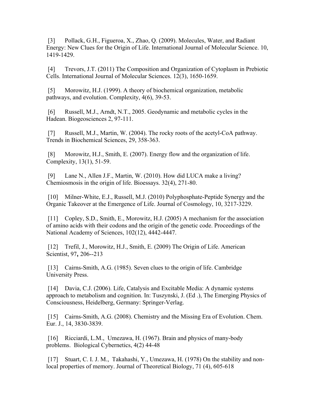[3] Pollack, G.H., Figueroa, X., Zhao, Q. (2009). Molecules, Water, and Radiant Energy: New Clues for the Origin of Life. International Journal of Molecular Science. 10, 1419-1429.

[4] Trevors, J.T. (2011) The Composition and Organization of Cytoplasm in Prebiotic Cells. International Journal of Molecular Sciences. 12(3), 1650-1659.

[5] Morowitz, H.J. (1999). A theory of biochemical organization, metabolic pathways, and evolution. Complexity, 4(6), 39-53.

[6] Russell, M.J., Arndt, N.T., 2005. Geodynamic and metabolic cycles in the Hadean. Biogeosciences 2, 97-111.

[7] Russell, M.J., Martin, W. (2004). The rocky roots of the acetyl-CoA pathway. Trends in Biochemical Sciences, 29, 358-363.

[8] Morowitz, H.J., Smith, E. (2007). Energy flow and the organization of life. Complexity, 13(1), 51-59.

[9] Lane N., Allen J.F., Martin, W. (2010). How did LUCA make a living? Chemiosmosis in the origin of life. Bioessays. 32(4), 271-80.

[10] Milner-White, E.J., Russell, M.J. (2010) Polyphosphate-Peptide Synergy and the Organic Takeover at the Emergence of Life. Journal of Cosmology, 10, 3217-3229.

[11] Copley, S.D., Smith, E., Morowitz, H.J. (2005) A mechanism for the association of amino acids with their codons and the origin of the genetic code. Proceedings of the National Academy of Sciences, 102(12), 4442-4447.

[12] Trefil, J., Morowitz, H.J., Smith, E. (2009) The Origin of Life. American Scientist, 97**,** 206--213

[13] Cairns-Smith, A.G. (1985). Seven clues to the origin of life. Cambridge University Press.

[14] Davia, C.J. (2006). Life, Catalysis and Excitable Media: A dynamic systems approach to metabolism and cognition. In: Tuszynski, J. (Ed .), The Emerging Physics of Consciousness, Heidelberg, Germany: Springer-Verlag.

[15] Cairns-Smith, A.G. (2008). Chemistry and the Missing Era of Evolution. Chem. Eur. J., 14, 3830-3839.

[16] Ricciardi, L.M., Umezawa, H. (1967). Brain and physics of many-body problems. Biological Cybernetics, 4(2) 44-48

[17] Stuart, C. I. J. M., Takahashi, Y., Umezawa, H. (1978) On the stability and nonlocal properties of memory. Journal of Theoretical Biology, 71 (4), 605-618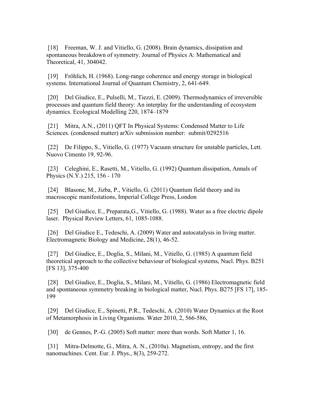[18] Freeman, W. J. and Vitiello, G. (2008). Brain dynamics, dissipation and spontaneous breakdown of symmetry. Journal of Physics A: Mathematical and Theoretical, 41, 304042.

[19] Fröhlich, H. (1968). Long-range coherence and energy storage in biological systems. International Journal of Quantum Chemistry, 2, 641-649.

[20] Del Giudice, E., Pulselli, M., Tiezzi, E. (2009). Thermodynamics of irreversible processes and quantum field theory: An interplay for the understanding of ecosystem dynamics. Ecological Modelling 220, 1874–1879

[21] Mitra, A.N., (2011) QFT In Physical Systems: Condensed Matter to Life Sciences. (condensed matter) arXiv submission number: submit/0292516

[22] De Filippo, S., Vitiello, G. (1977) Vacuum structure for unstable particles, Lett. Nuovo Cimento 19, 92-96.

[23] Celeghini, E., Rasetti, M., Vitiello, G. (1992) Quantum dissipation, Annals of Physics (N.Y.) 215, 156 - 170

[24] Blasone, M., Jizba, P., Vitiello, G. (2011) Quantum field theory and its macroscopic manifestations, Imperial College Press, London

[25] Del Giudice, E., Preparata,G., Vitiello, G. (1988). Water as a free electric dipole laser. Physical Review Letters, 61, 1085-1088.

[26] Del Giudice E., Tedeschi, A. (2009) Water and autocatalysis in living matter. Electromagnetic Biology and Medicine, 28(1), 46-52.

[27] Del Giudice, E., Doglia, S., Milani, M., Vitiello, G. (1985) A quantum field theoretical approach to the collective behaviour of biological systems, Nucl. Phys. B251 [FS 13], 375-400

[28] Del Giudice, E., Doglia, S., Milani, M., Vitiello, G. (1986) Electromagnetic field and spontaneous symmetry breaking in biological matter, Nucl. Phys. B275 [FS 17], 185- 199

[29] Del Giudice, E., Spinetti, P.R., Tedeschi, A. (2010) Water Dynamics at the Root of Metamorphosis in Living Organisms. Water 2010, 2, 566-586,

[30] de Gennes, P.-G. (2005) Soft matter: more than words. Soft Matter 1, 16.

[31] Mitra-Delmotte, G., Mitra, A. N., (2010a). Magnetism, entropy, and the first nanomachines. Cent. Eur. J. Phys., 8(3), 259-272.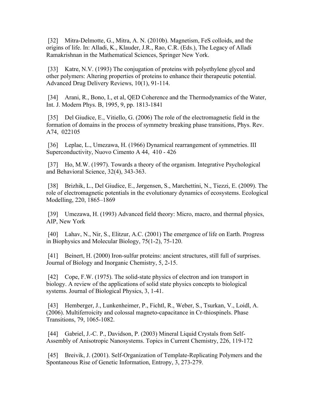[32] Mitra-Delmotte, G., Mitra, A. N. (2010b). Magnetism, FeS colloids, and the origins of life. In: Alladi, K., Klauder, J.R., Rao, C.R. (Eds.), The Legacy of Alladi Ramakrishnan in the Mathematical Sciences, Springer New York.

[33] Katre, N.V. (1993) The conjugation of proteins with polyethylene glycol and other polymers: Altering properties of proteins to enhance their therapeutic potential. Advanced Drug Delivery Reviews, 10(1), 91-114.

[34] Arani, R., Bono, I., et al, QED Coherence and the Thermodynamics of the Water, Int. J. Modern Phys. B, 1995, 9, pp. 1813-1841

[35] Del Giudice, E., Vitiello, G. (2006) The role of the electromagnetic field in the formation of domains in the process of symmetry breaking phase transitions, Phys. Rev. A74, 022105

[36] Leplae, L., Umezawa, H. (1966) Dynamical rearrangement of symmetries. III Superconductivity, Nuovo Cimento A 44, 410 - 426

[37] Ho, M.W. (1997). Towards a theory of the organism. Integrative Psychological and Behavioral Science, 32(4), 343-363.

[38] Brizhik, L., Del Giudice, E., Jørgensen, S., Marchettini, N., Tiezzi, E. (2009). The role of electromagnetic potentials in the evolutionary dynamics of ecosystems. Ecological Modelling, 220, 1865–1869

[39] Umezawa, H. (1993) Advanced field theory: Micro, macro, and thermal physics, AIP, New York

[40] Lahav, N., Nir, S., Elitzur, A.C. (2001) The emergence of life on Earth. Progress in Biophysics and Molecular Biology, 75(1-2), 75-120.

[41] Beinert, H. (2000) Iron-sulfur proteins: ancient structures, still full of surprises. Journal of Biology and Inorganic Chemistry, 5, 2-15.

[42] Cope, F.W. (1975). The solid-state physics of electron and ion transport in biology. A review of the applications of solid state physics concepts to biological systems. Journal of Biological Physics, 3, 1-41.

[43] Hemberger, J., Lunkenheimer, P., Fichtl, R., Weber, S., Tsurkan, V., Loidl, A. (2006). Multiferroicity and colossal magneto-capacitance in Cr-thiospinels. Phase Transitions, 79, 1065-1082.

[44] Gabriel, J.-C. P., Davidson, P. (2003) Mineral Liquid Crystals from Self-Assembly of Anisotropic Nanosystems. Topics in Current Chemistry, 226, 119-172

[45] Breivik, J. (2001). Self-Organization of Template-Replicating Polymers and the Spontaneous Rise of Genetic Information, Entropy, 3, 273-279.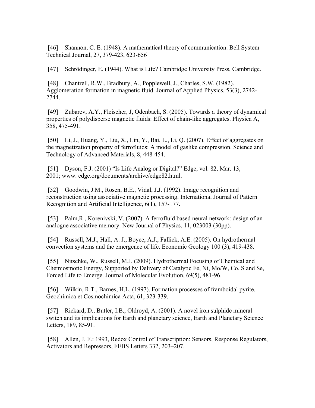[46] Shannon, C. E. (1948). A mathematical theory of communication. Bell System Technical Journal, 27, 379-423, 623-656

[47] Schrödinger, E. (1944). What is Life? Cambridge University Press, Cambridge.

[48] Chantrell, R.W., Bradbury, A., Popplewell, J., Charles, S.W. (1982). Agglomeration formation in magnetic fluid. Journal of Applied Physics, 53(3), 2742- 2744.

[49] Zubarev, A.Y., Fleischer, J, Odenbach, S. (2005). Towards a theory of dynamical properties of polydisperse magnetic fluids: Effect of chain-like aggregates. Physica A, 358, 475-491.

[50] Li, J., Huang, Y., Liu, X., Lin, Y., Bai, L., Li, Q. (2007). Effect of aggregates on the magnetization property of ferrofluids: A model of gaslike compression. Science and Technology of Advanced Materials, 8, 448-454.

[51] Dyson, F.J. (2001) "Is Life Analog or Digital?" Edge, vol. 82, Mar. 13, 2001; www. edge.org/documents/archive/edge82.html.

[52] Goodwin, J.M., Rosen, B.E., Vidal, J.J. (1992). Image recognition and reconstruction using associative magnetic processing. International Journal of Pattern Recognition and Artificial Intelligence, 6(1), 157-177.

[53] Palm,R., Korenivski, V. (2007). A ferrofluid based neural network: design of an analogue associative memory. New Journal of Physics, 11, 023003 (30pp).

[54] Russell, M.J., Hall, A. J., Boyce, A.J., Fallick, A.E. (2005). On hydrothermal convection systems and the emergence of life. Economic Geology 100 (3), 419-438.

[55] Nitschke, W., Russell, M.J. (2009). Hydrothermal Focusing of Chemical and Chemiosmotic Energy, Supported by Delivery of Catalytic Fe, Ni, Mo/W, Co, S and Se, Forced Life to Emerge. Journal of Molecular Evolution, 69(5), 481-96.

[56] Wilkin, R.T., Barnes, H.L. (1997). Formation processes of framboidal pyrite. Geochimica et Cosmochimica Acta, 61, 323-339.

[57] Rickard, D., Butler, I.B., Oldroyd, A. (2001). A novel iron sulphide mineral switch and its implications for Earth and planetary science, Earth and Planetary Science Letters, 189, 85-91.

[58] Allen, J. F.: 1993, Redox Control of Transcription: Sensors, Response Regulators, Activators and Repressors, FEBS Letters 332, 203–207.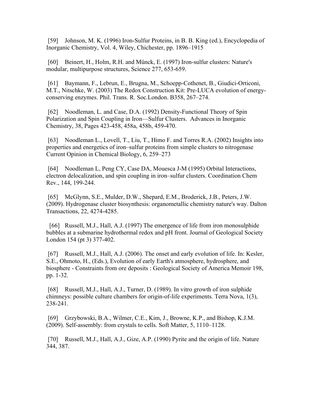[59] Johnson, M. K. (1996) Iron-Sulfur Proteins, in B. B. King (ed.), Encyclopedia of Inorganic Chemistry, Vol. 4, Wiley, Chichester, pp. 1896–1915

[60] Beinert, H., Holm, R.H. and Münck, E. (1997) Iron-sulfur clusters: Nature's modular, multipurpose structures, Science 277, 653-659.

[61] Baymann, F., Lebrun, E., Brugna, M., Schoepp-Cothenet, B., Giudici-Orticoni, M.T., Nitschke, W. (2003) The Redox Construction Kit: Pre-LUCA evolution of energyconserving enzymes. Phil. Trans. R. Soc.London. B358, 267–274.

[62] Noodleman, L. and Case, D.A. (1992) Density-Functional Theory of Spin Polarization and Spin Coupling in Iron—Sulfur Clusters. Advances in Inorganic Chemistry, 38, Pages 423-458, 458a, 458b, 459-470.

[63] Noodleman L., Lovell, T., Liu, T., Himo F. and Torres R.A. (2002) Insights into properties and energetics of iron–sulfur proteins from simple clusters to nitrogenase Current Opinion in Chemical Biology, 6, 259–273

[64] Noodleman L, Peng CY, Case DA, Mouesca J-M (1995) Orbital Interactions, electron delocalization, and spin coupling in iron–sulfur clusters. Coordination Chem Rev., 144, 199-244.

[65] McGlynn, S.E., Mulder, D.W., Shepard, E.M., Broderick, J.B., Peters, J.W. (2009). Hydrogenase cluster biosynthesis: organometallic chemistry nature's way. Dalton Transactions, 22, 4274-4285.

 [66] Russell, M.J., Hall, A.J. (1997) The emergence of life from iron monosulphide bubbles at a submarine hydrothermal redox and pH front. Journal of Geological Society London 154 (pt 3) 377-402.

[67] Russell, M.J., Hall, A.J. (2006). The onset and early evolution of life. In: Kesler, S.E., Ohmoto, H., (Eds.), Evolution of early Earth's atmosphere, hydrosphere, and biosphere - Constraints from ore deposits : Geological Society of America Memoir 198, pp. 1-32.

[68] Russell, M.J., Hall, A.J., Turner, D. (1989). In vitro growth of iron sulphide chimneys: possible culture chambers for origin-of-life experiments. Terra Nova, 1(3), 238-241.

[69] Grzybowski, B.A., Wilmer, C.E., Kim, J., Browne, K.P., and Bishop, K.J.M. (2009). Self-assembly: from crystals to cells. Soft Matter, 5, 1110–1128.

[70] Russell, M.J., Hall, A.J., Gize, A.P. (1990) Pyrite and the origin of life. Nature 344, 387.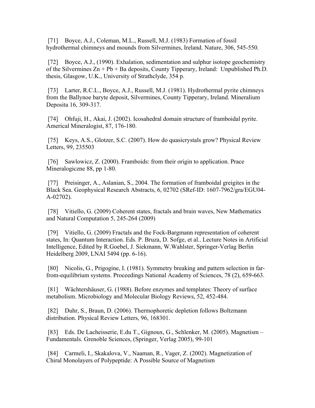[71] Boyce, A.J., Coleman, M.L., Russell, M.J. (1983) Formation of fossil hydrothermal chimneys and mounds from Silvermines, Ireland. Nature, 306, 545-550.

[72] Boyce, A.J., (1990). Exhalation, sedimentation and sulphur isotope geochemistry of the Silvermines  $Zn + Pb + Ba$  deposits, County Tipperary, Ireland: Unpublished Ph.D. thesis, Glasgow, U.K., University of Strathclyde, 354 p.

[73] Larter, R.C.L., Boyce, A.J., Russell, M.J. (1981). Hydrothermal pyrite chimneys from the Ballynoe baryte deposit, Silvermines, County Tipperary, Ireland. Mineralium Deposita 16, 309-317.

[74] Ohfuji, H., Akai, J. (2002). Icosahedral domain structure of framboidal pyrite. Americal Mineralogist, 87, 176-180.

[75] Keys, A.S., Glotzer, S.C. (2007). How do quasicrystals grow? Physical Review Letters, 99, 235503

[76] Sawlowicz, Z. (2000). Framboids: from their origin to application. Prace Mineralogiczne 88, pp 1-80.

[77] Preisinger, A., Aslanian, S., 2004. The formation of framboidal greigites in the Black Sea. Geophysical Research Abstracts, 6, 02702 (SRef-ID: 1607-7962/gra/EGU04- A-02702).

[78] Vitiello, G. (2009) Coherent states, fractals and brain waves, New Mathematics and Natural Computation 5, 245-264 (2009)

[79] Vitiello, G. (2009) Fractals and the Fock-Bargmann representation of coherent states, In: Quantum Interaction. Eds. P. Bruza, D. Sofge, et al.. Lecture Notes in Artificial Intelligence, Edited by R.Goebel, J. Siekmann, W.Wahlster, Springer-Verlag Berlin Heidelberg 2009, LNAI 5494 (pp. 6-16).

[80] Nicolis, G., Prigogine, I. (1981). Symmetry breaking and pattern selection in farfrom-equilibrium systems. Proceedings National Academy of Sciences, 78 (2), 659-663.

[81] Wächtershäuser, G. (1988). Before enzymes and templates: Theory of surface metabolism. Microbiology and Molecular Biology Reviews, 52, 452-484.

[82] Duhr, S., Braun, D. (2006). Thermophoretic depletion follows Boltzmann distribution. Physical Review Letters, 96, 168301.

[83] Eds. De Lacheisserie, E.du T., Gignoux, G., Schlenker, M. (2005). Magnetism – Fundamentals. Grenoble Sciences, (Springer, Verlag 2005), 99-101

[84] Carmeli, I., Skakalova, V., Naaman, R., Vager, Z. (2002). Magnetization of Chiral Monolayers of Polypeptide: A Possible Source of Magnetism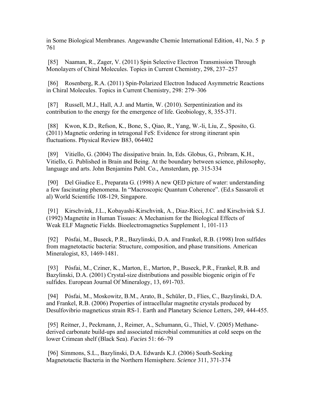in Some Biological Membranes. Angewandte Chemie International Edition, 41, No. 5 p 761

[85] Naaman, R., Zager, V. (2011) Spin Selective Electron Transmission Through Monolayers of Chiral Molecules. Topics in Current Chemistry, 298, 237–257

[86] Rosenberg, R.A. (2011) Spin-Polarized Electron Induced Asymmetric Reactions in Chiral Molecules. Topics in Current Chemistry, 298: 279–306

[87] Russell, M.J., Hall, A.J. and Martin, W. (2010). Serpentinization and its contribution to the energy for the emergence of life. Geobiology, 8, 355-371.

[88] Kwon, K.D., Refson, K., Bone, S., Qiao, R., Yang, W.-li, Liu, Z., Sposito, G. (2011) Magnetic ordering in tetragonal FeS: Evidence for strong itinerant spin fluctuations. Physical Review B83, 064402

[89] Vitiello, G. (2004) The dissipative brain. In, Eds. Globus, G., Pribram, K.H., Vitiello, G. Published in Brain and Being. At the boundary between science, philosophy, language and arts. John Benjamins Publ. Co., Amsterdam, pp. 315-334

[90] Del Giudice E., Preparata G. (1998) A new QED picture of water: understanding a few fascinating phenomena. In "Macroscopic Quantum Coherence". (Ed.s Sassaroli et al) World Scientific 108-129, Singapore.

[91] Kirschvink, J.L., Kobayashi-Kirschvink, A., Diaz-Ricci, J.C. and Kirschvink S.J. (1992) Magnetite in Human Tissues: A Mechanism for the Biological Effects of Weak ELF Magnetic Fields. Bioelectromagnetics Supplement 1, 101-113

[92] Pósfai, M., Buseck, P.R., Bazylinski, D.A. and Frankel, R.B. (1998) Iron sulfides from magnetotactic bacteria: Structure, composition, and phase transitions. American Mineralogist, 83, 1469-1481.

[93] Pósfai, M., Cziner, K., Marton, E., Marton, P., Buseck, P.R., Frankel, R.B. and Bazylinski, D.A. (2001) Crystal-size distributions and possible biogenic origin of Fe sulfides. European Journal Of Mineralogy, 13, 691-703.

[94] Pósfai, M., Moskowitz, B.M., Arato, B., Schüler, D., Flies, C., Bazylinski, D.A. and Frankel, R.B. (2006) Properties of intracellular magnetite crystals produced by Desulfovibrio magneticus strain RS-1. Earth and Planetary Science Letters, 249, 444-455.

[95] Reitner, J., Peckmann, J., Reimer, A., Schumann, G., Thiel, V. (2005) Methanederived carbonate build-ups and associated microbial communities at cold seeps on the lower Crimean shelf (Black Sea). *Facies* 51: 66–79

[96] Simmons, S.L., Bazylinski, D.A. Edwards K.J. (2006) South-Seeking Magnetotactic Bacteria in the Northern Hemisphere. *Science* 311, 371-374